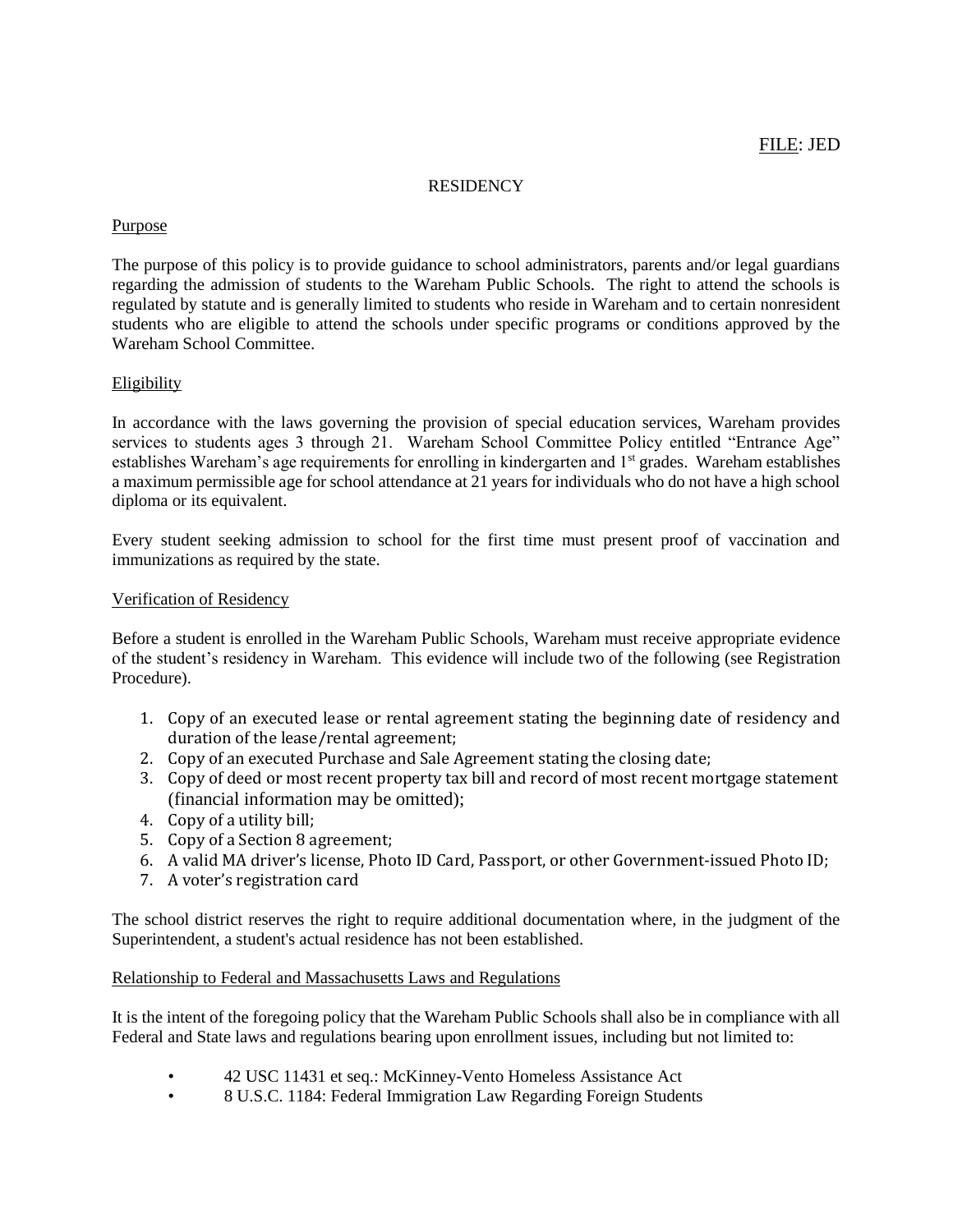#### **RESIDENCY**

### Purpose

The purpose of this policy is to provide guidance to school administrators, parents and/or legal guardians regarding the admission of students to the Wareham Public Schools. The right to attend the schools is regulated by statute and is generally limited to students who reside in Wareham and to certain nonresident students who are eligible to attend the schools under specific programs or conditions approved by the Wareham School Committee.

# Eligibility

In accordance with the laws governing the provision of special education services, Wareham provides services to students ages 3 through 21. Wareham School Committee Policy entitled "Entrance Age" establishes Wareham's age requirements for enrolling in kindergarten and 1<sup>st</sup> grades. Wareham establishes a maximum permissible age for school attendance at 21 years for individuals who do not have a high school diploma or its equivalent.

Every student seeking admission to school for the first time must present proof of vaccination and immunizations as required by the state.

# Verification of Residency

Before a student is enrolled in the Wareham Public Schools, Wareham must receive appropriate evidence of the student's residency in Wareham. This evidence will include two of the following (see Registration Procedure).

- 1. Copy of an executed lease or rental agreement stating the beginning date of residency and duration of the lease/rental agreement;
- 2. Copy of an executed Purchase and Sale Agreement stating the closing date;
- 3. Copy of deed or most recent property tax bill and record of most recent mortgage statement (financial information may be omitted);
- 4. Copy of a utility bill;
- 5. Copy of a Section 8 agreement;
- 6. A valid MA driver's license, Photo ID Card, Passport, or other Government-issued Photo ID;
- 7. A voter's registration card

The school district reserves the right to require additional documentation where, in the judgment of the Superintendent, a student's actual residence has not been established.

#### Relationship to Federal and Massachusetts Laws and Regulations

It is the intent of the foregoing policy that the Wareham Public Schools shall also be in compliance with all Federal and State laws and regulations bearing upon enrollment issues, including but not limited to:

- 42 USC 11431 et seq.: McKinney-Vento Homeless Assistance Act
- 8 U.S.C. 1184: Federal Immigration Law Regarding Foreign Students